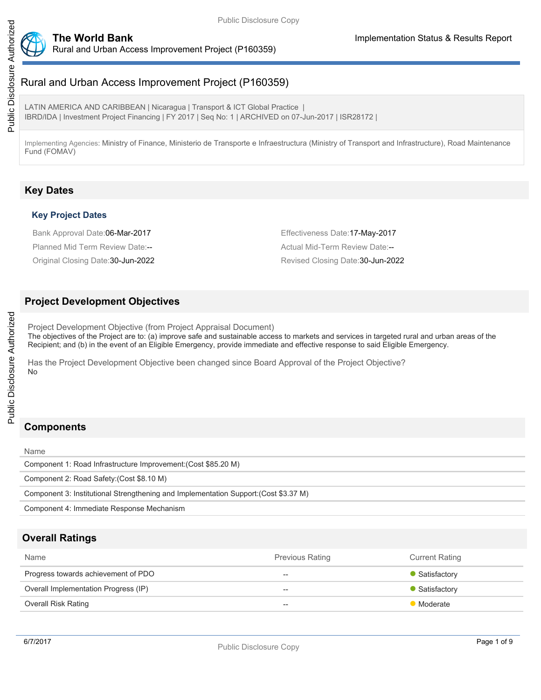

# Rural and Urban Access Improvement Project (P160359)

LATIN AMERICA AND CARIBBEAN | Nicaragua | Transport & ICT Global Practice | IBRD/IDA | Investment Project Financing | FY 2017 | Seq No: 1 | ARCHIVED on 07-Jun-2017 | ISR28172 |

Implementing Agencies: Ministry of Finance, Ministerio de Transporte e Infraestructura (Ministry of Transport and Infrastructure), Road Maintenance Fund (FOMAV)

## **Key Dates**

#### **Key Project Dates**

Bank Approval Date:06-Mar-2017 **Effectiveness Date:17-May-2017** Planned Mid Term Review Date:-- Actual Mid-Term Review Date:--

Original Closing Date:30-Jun-2022 Revised Closing Date:30-Jun-2022

### **Project Development Objectives**

Project Development Objective (from Project Appraisal Document)

The objectives of the Project are to: (a) improve safe and sustainable access to markets and services in targeted rural and urban areas of the Recipient; and (b) in the event of an Eligible Emergency, provide immediate and effective response to said Eligible Emergency.

Has the Project Development Objective been changed since Board Approval of the Project Objective? No

# **Components**

Name Component 1: Road Infrastructure Improvement:(Cost \$85.20 M) Component 2: Road Safety:(Cost \$8.10 M) Component 3: Institutional Strengthening and Implementation Support:(Cost \$3.37 M)

Component 4: Immediate Response Mechanism

## **Overall Ratings**

| Name                                 | <b>Previous Rating</b> | <b>Current Rating</b> |
|--------------------------------------|------------------------|-----------------------|
| Progress towards achievement of PDO  | $- -$                  | • Satisfactory        |
| Overall Implementation Progress (IP) | $- -$                  | • Satisfactory        |
| <b>Overall Risk Rating</b>           | $-$                    | Moderate              |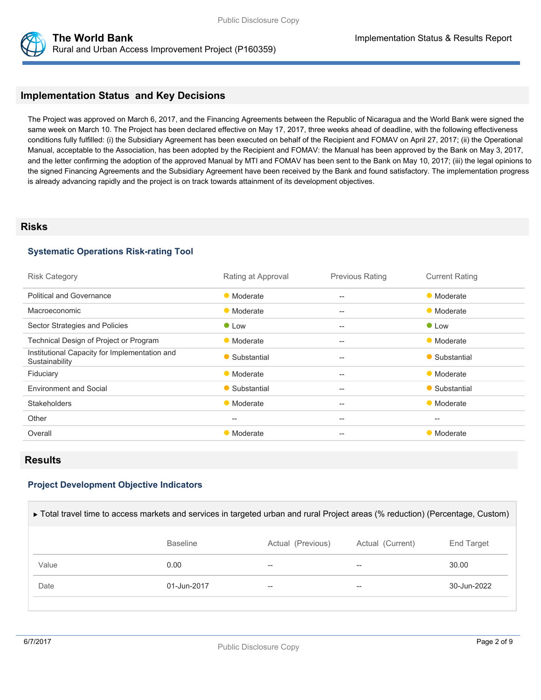

## **Implementation Status and Key Decisions**

The Project was approved on March 6, 2017, and the Financing Agreements between the Republic of Nicaragua and the World Bank were signed the same week on March 10. The Project has been declared effective on May 17, 2017, three weeks ahead of deadline, with the following effectiveness conditions fully fulfilled: (i) the Subsidiary Agreement has been executed on behalf of the Recipient and FOMAV on April 27, 2017; (ii) the Operational Manual, acceptable to the Association, has been adopted by the Recipient and FOMAV: the Manual has been approved by the Bank on May 3, 2017, and the letter confirming the adoption of the approved Manual by MTI and FOMAV has been sent to the Bank on May 10, 2017; (iii) the legal opinions to the signed Financing Agreements and the Subsidiary Agreement have been received by the Bank and found satisfactory. The implementation progress is already advancing rapidly and the project is on track towards attainment of its development objectives.

#### **Risks**

#### **Systematic Operations Risk-rating Tool**

| <b>Risk Category</b>                                            | Rating at Approval | <b>Previous Rating</b> | <b>Current Rating</b> |
|-----------------------------------------------------------------|--------------------|------------------------|-----------------------|
| <b>Political and Governance</b>                                 | • Moderate         | $-$                    | • Moderate            |
| Macroeconomic                                                   | • Moderate         | $-$                    | • Moderate            |
| Sector Strategies and Policies                                  | $\bullet$ Low      | $-$                    | $\bullet$ Low         |
| Technical Design of Project or Program                          | • Moderate         | --                     | • Moderate            |
| Institutional Capacity for Implementation and<br>Sustainability | • Substantial      | $-$                    | • Substantial         |
| Fiduciary                                                       | • Moderate         | $-$                    | • Moderate            |
| <b>Environment and Social</b>                                   | • Substantial      | $-$                    | • Substantial         |
| <b>Stakeholders</b>                                             | • Moderate         | --                     | • Moderate            |
| Other                                                           | $--$               | $-$                    | $-$                   |
| Overall                                                         | • Moderate         | --                     | • Moderate            |

#### **Results**

#### **Project Development Objective Indicators**

| ► Total travel time to access markets and services in targeted urban and rural Project areas (% reduction) (Percentage, Custom) |                 |                          |                  |                       |  |
|---------------------------------------------------------------------------------------------------------------------------------|-----------------|--------------------------|------------------|-----------------------|--|
|                                                                                                                                 | <b>Baseline</b> | Actual (Previous)        | Actual (Current) | End Target            |  |
| Value                                                                                                                           | 0.00            | --                       | --               | 30.00                 |  |
| Date                                                                                                                            | 01-Jun-2017     | $\overline{\phantom{m}}$ | --               | $30 - \frac{1}{2022}$ |  |
|                                                                                                                                 |                 |                          |                  |                       |  |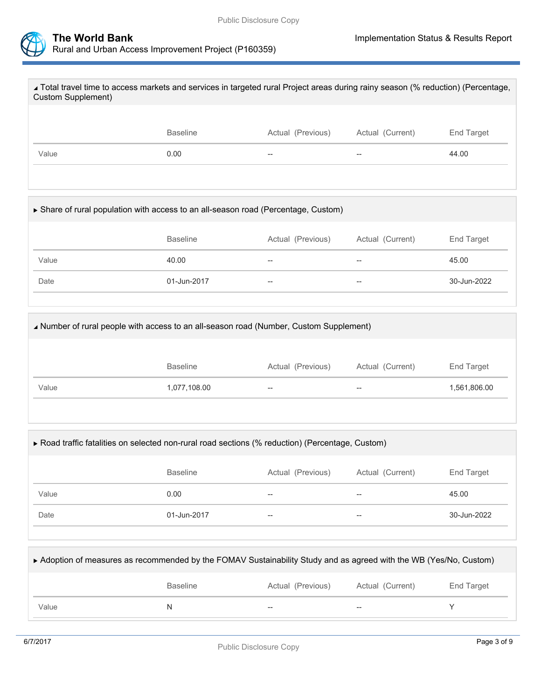

| ∡ Total travel time to access markets and services in targeted rural Project areas during rainy season (% reduction) (Percentage,<br>Custom Supplement) |                 |                   |                  |            |
|---------------------------------------------------------------------------------------------------------------------------------------------------------|-----------------|-------------------|------------------|------------|
|                                                                                                                                                         |                 |                   |                  |            |
|                                                                                                                                                         | <b>Baseline</b> | Actual (Previous) | Actual (Current) | End Target |
| Value                                                                                                                                                   | 0.00            |                   |                  | 44.00      |
|                                                                                                                                                         |                 |                   |                  |            |

| ► Share of rural population with access to an all-season road (Percentage, Custom) |                 |                                     |                  |                   |  |
|------------------------------------------------------------------------------------|-----------------|-------------------------------------|------------------|-------------------|--|
|                                                                                    | <b>Baseline</b> | Actual (Previous)                   | Actual (Current) | <b>End Target</b> |  |
| Value                                                                              | 40.00           | $\overline{\phantom{m}}$            | --               | 45.00             |  |
| Date                                                                               | 01-Jun-2017     | $\hspace{0.05cm}$ $\hspace{0.05cm}$ | --               | 30-Jun-2022       |  |
|                                                                                    |                 |                                     |                  |                   |  |

| A Number of rural people with access to an all-season road (Number, Custom Supplement) |                 |                   |                   |              |
|----------------------------------------------------------------------------------------|-----------------|-------------------|-------------------|--------------|
|                                                                                        | <b>Baseline</b> | Actual (Previous) | Actual (Current)  | End Target   |
| Value                                                                                  | 1,077,108.00    | $-$               | $\hspace{0.05cm}$ | 1,561,806.00 |

| ▶ Road traffic fatalities on selected non-rural road sections (% reduction) (Percentage, Custom) |                 |                   |                  |             |  |
|--------------------------------------------------------------------------------------------------|-----------------|-------------------|------------------|-------------|--|
|                                                                                                  | <b>Baseline</b> | Actual (Previous) | Actual (Current) | End Target  |  |
| Value                                                                                            | 0.00            | $- -$             | --               | 45.00       |  |
| Date                                                                                             | 01-Jun-2017     | --                | --               | 30-Jun-2022 |  |
|                                                                                                  |                 |                   |                  |             |  |

| Adoption of measures as recommended by the FOMAV Sustainability Study and as agreed with the WB (Yes/No, Custom) |                 |                   |                  |            |
|------------------------------------------------------------------------------------------------------------------|-----------------|-------------------|------------------|------------|
|                                                                                                                  | <b>Baseline</b> | Actual (Previous) | Actual (Current) | End Target |
| Value                                                                                                            |                 | $- -$             | --               |            |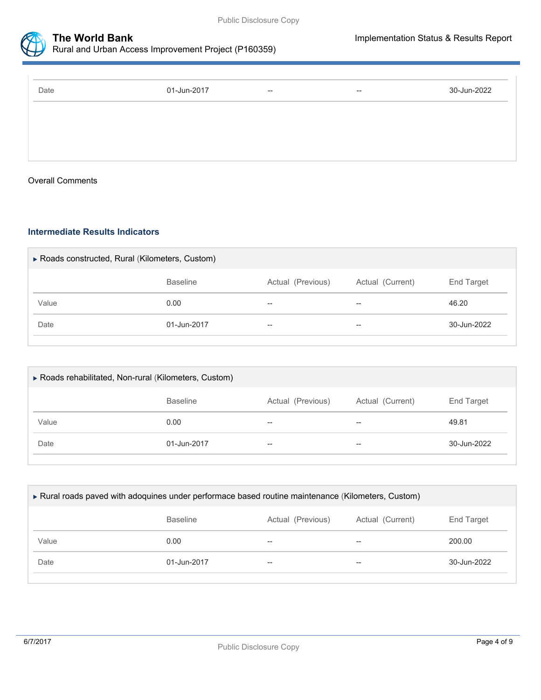



## **The World Bank Implementation Status & Results Report** Rural and Urban Access Improvement Project (P160359)

| 01-Jun-2017 | $\hspace{0.1mm}-\hspace{0.1mm}-\hspace{0.1mm}$ | $- -$ | 30-Jun-2022 |
|-------------|------------------------------------------------|-------|-------------|
|             |                                                |       |             |
|             |                                                |       |             |
|             |                                                |       |             |

#### Overall Comments

#### **Intermediate Results Indicators**

| ▶ Roads constructed, Rural (Kilometers, Custom) |                 |                   |                  |             |  |
|-------------------------------------------------|-----------------|-------------------|------------------|-------------|--|
|                                                 | <b>Baseline</b> | Actual (Previous) | Actual (Current) | End Target  |  |
| Value                                           | 0.00            | --                | $- -$            | 46.20       |  |
| Date                                            | 01-Jun-2017     | $- -$             | $- -$            | 30-Jun-2022 |  |
|                                                 |                 |                   |                  |             |  |

| ▶ Roads rehabilitated, Non-rural (Kilometers, Custom) |                 |                   |                  |             |  |
|-------------------------------------------------------|-----------------|-------------------|------------------|-------------|--|
|                                                       | <b>Baseline</b> | Actual (Previous) | Actual (Current) | End Target  |  |
| Value                                                 | 0.00            | $-$               | --               | 49.81       |  |
| Date                                                  | 01-Jun-2017     | $- -$             | $-$              | 30-Jun-2022 |  |
|                                                       |                 |                   |                  |             |  |

| ► Rural roads paved with adoquines under performace based routine maintenance (Kilometers, Custom) |                 |                   |                  |             |
|----------------------------------------------------------------------------------------------------|-----------------|-------------------|------------------|-------------|
|                                                                                                    | <b>Baseline</b> | Actual (Previous) | Actual (Current) | End Target  |
| Value                                                                                              | 0.00            | $- -$             | --               | 200.00      |
| Date                                                                                               | 01-Jun-2017     | $- -$             | $- -$            | 30-Jun-2022 |
|                                                                                                    |                 |                   |                  |             |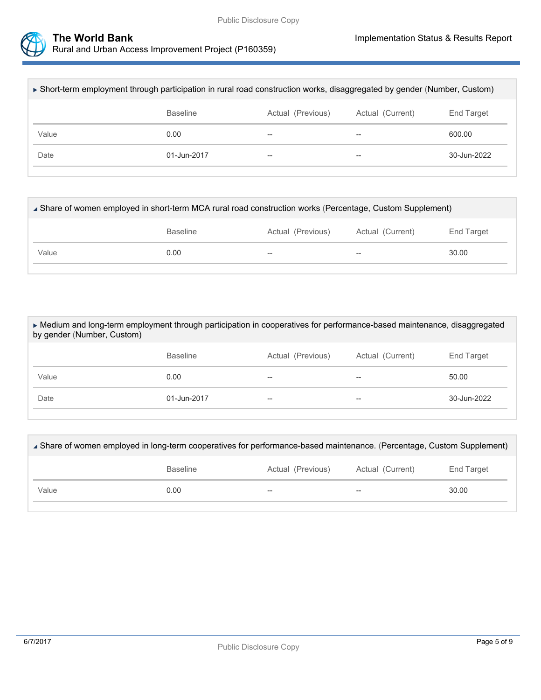



| ► Short-term employment through participation in rural road construction works, disaggregated by gender (Number, Custom) |                 |                   |                  |             |
|--------------------------------------------------------------------------------------------------------------------------|-----------------|-------------------|------------------|-------------|
|                                                                                                                          | <b>Baseline</b> | Actual (Previous) | Actual (Current) | End Target  |
| Value                                                                                                                    | 0.00            | --                | --               | 600.00      |
| Date                                                                                                                     | 01-Jun-2017     | $- -$             | $- -$            | 30-Jun-2022 |
|                                                                                                                          |                 |                   |                  |             |

| ∡ Share of women employed in short-term MCA rural road construction works (Percentage, Custom Supplement) |      |    |                                                     |       |
|-----------------------------------------------------------------------------------------------------------|------|----|-----------------------------------------------------|-------|
| <b>Baseline</b><br>Actual (Previous)<br>Actual (Current)<br>End Target                                    |      |    |                                                     |       |
| Value                                                                                                     | 0.00 | -- | $\hspace{0.05cm} -\hspace{0.05cm} -\hspace{0.05cm}$ | 30.00 |
|                                                                                                           |      |    |                                                     |       |

 Medium and long-term employment through participation in cooperatives for performance-based maintenance, disaggregated by gender (Number, Custom)

|       | <b>Baseline</b> | Actual (Previous) | Actual (Current) | End Target  |
|-------|-----------------|-------------------|------------------|-------------|
| Value | 0.00            | $- -$             | $- -$            | 50.00       |
| Date  | 01-Jun-2017     | $\hspace{0.05cm}$ | $- -$            | 30-Jun-2022 |

| ∡ Share of women employed in long-term cooperatives for performance-based maintenance. (Percentage, Custom Supplement) |                 |                   |                  |            |  |
|------------------------------------------------------------------------------------------------------------------------|-----------------|-------------------|------------------|------------|--|
|                                                                                                                        | <b>Baseline</b> | Actual (Previous) | Actual (Current) | End Target |  |
| Value                                                                                                                  | 0.00            | $- -$             | $- -$            | 30.00      |  |
|                                                                                                                        |                 |                   |                  |            |  |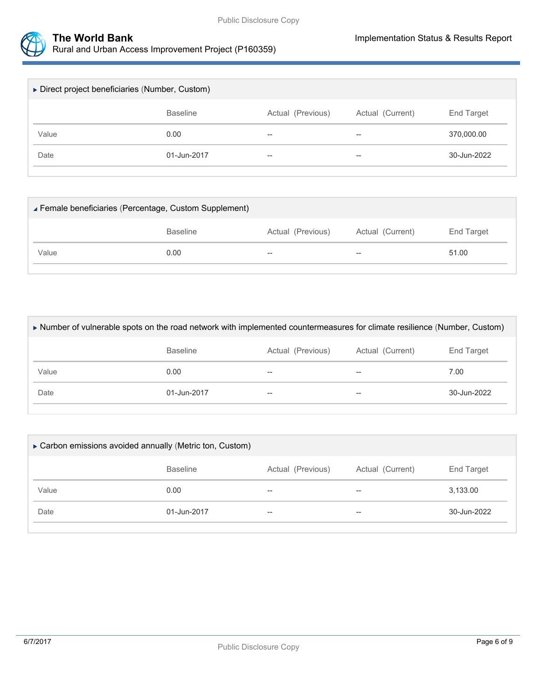



Rural and Urban Access Improvement Project (P160359)

| ▶ Direct project beneficiaries (Number, Custom) |                 |                          |                  |             |  |
|-------------------------------------------------|-----------------|--------------------------|------------------|-------------|--|
|                                                 | <b>Baseline</b> | Actual (Previous)        | Actual (Current) | End Target  |  |
| Value                                           | 0.00            | $\overline{\phantom{m}}$ | $- -$            | 370,000.00  |  |
| Date                                            | 01-Jun-2017     | $\overline{\phantom{m}}$ | $- -$            | 30-Jun-2022 |  |
|                                                 |                 |                          |                  |             |  |

| Female beneficiaries (Percentage, Custom Supplement) |                 |                   |                          |            |
|------------------------------------------------------|-----------------|-------------------|--------------------------|------------|
|                                                      | <b>Baseline</b> | Actual (Previous) | Actual (Current)         | End Target |
| Value                                                | 0.00            | $- -$             | $\overline{\phantom{a}}$ | 51.00      |
|                                                      |                 |                   |                          |            |

| Number of vulnerable spots on the road network with implemented countermeasures for climate resilience (Number, Custom) |                 |                   |                  |                       |
|-------------------------------------------------------------------------------------------------------------------------|-----------------|-------------------|------------------|-----------------------|
|                                                                                                                         | <b>Baseline</b> | Actual (Previous) | Actual (Current) | End Target            |
| Value                                                                                                                   | 0.00            | --                | --               | 7.00                  |
| Date                                                                                                                    | 01-Jun-2017     | --                | --               | $30 - \frac{1}{2022}$ |
|                                                                                                                         |                 |                   |                  |                       |

| ► Carbon emissions avoided annually (Metric ton, Custom) |                 |                   |                  |                   |  |
|----------------------------------------------------------|-----------------|-------------------|------------------|-------------------|--|
|                                                          | <b>Baseline</b> | Actual (Previous) | Actual (Current) | <b>End Target</b> |  |
| Value                                                    | 0.00            | $- -$             | $-$              | 3,133.00          |  |
| Date                                                     | 01-Jun-2017     | $- -$             | --               | 30-Jun-2022       |  |
|                                                          |                 |                   |                  |                   |  |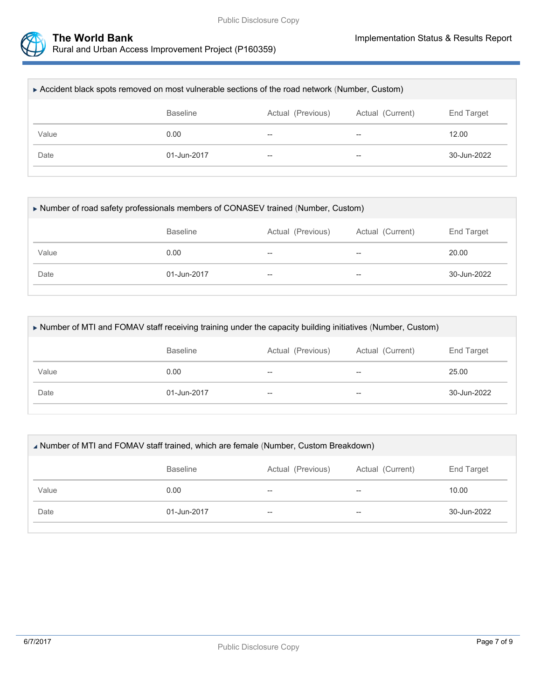

| ► Accident black spots removed on most vulnerable sections of the road network (Number, Custom) |                 |                          |                  |             |  |
|-------------------------------------------------------------------------------------------------|-----------------|--------------------------|------------------|-------------|--|
|                                                                                                 | <b>Baseline</b> | Actual (Previous)        | Actual (Current) | End Target  |  |
| Value                                                                                           | 0.00            | $- -$                    | $- -$            | 12.00       |  |
| Date                                                                                            | 01-Jun-2017     | $\overline{\phantom{m}}$ | $- -$            | 30-Jun-2022 |  |
|                                                                                                 |                 |                          |                  |             |  |

| ► Number of road safety professionals members of CONASEV trained (Number, Custom) |                 |                   |                  |             |
|-----------------------------------------------------------------------------------|-----------------|-------------------|------------------|-------------|
|                                                                                   | <b>Baseline</b> | Actual (Previous) | Actual (Current) | End Target  |
| Value                                                                             | 0.00            | $- -$             | $- -$            | 20.00       |
| Date                                                                              | 01-Jun-2017     | $- -$             | $- -$            | 30-Jun-2022 |

| ► Number of MTI and FOMAV staff receiving training under the capacity building initiatives (Number, Custom) |                 |                   |                  |             |
|-------------------------------------------------------------------------------------------------------------|-----------------|-------------------|------------------|-------------|
|                                                                                                             | <b>Baseline</b> | Actual (Previous) | Actual (Current) | End Target  |
| Value                                                                                                       | 0.00            |                   | $-$              | 25.00       |
| Date                                                                                                        | 01-Jun-2017     | --                | --               | 30-Jun-2022 |
|                                                                                                             |                 |                   |                  |             |

| A Number of MTI and FOMAV staff trained, which are female (Number, Custom Breakdown) |                 |                   |                          |                 |
|--------------------------------------------------------------------------------------|-----------------|-------------------|--------------------------|-----------------|
|                                                                                      | <b>Baseline</b> | Actual (Previous) | Actual (Current)         | End Target      |
| Value                                                                                | 0.00            | $- -$             | $- -$                    | 10.00           |
| Date                                                                                 | 01-Jun-2017     | $- -$             | $\overline{\phantom{m}}$ | $30 -$ Jun-2022 |
|                                                                                      |                 |                   |                          |                 |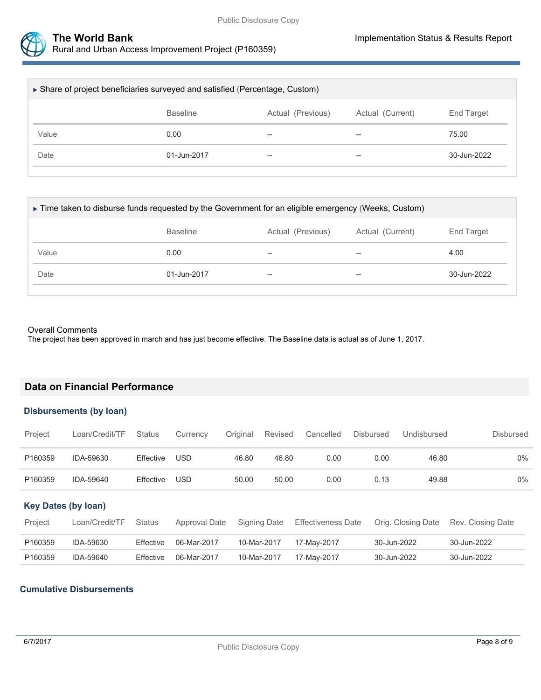

| ▶ Share of project beneficiaries surveyed and satisfied (Percentage, Custom) |                 |                          |                  |                   |  |  |
|------------------------------------------------------------------------------|-----------------|--------------------------|------------------|-------------------|--|--|
|                                                                              | <b>Baseline</b> | Actual (Previous)        | Actual (Current) | <b>End Target</b> |  |  |
| Value                                                                        | 0.00            | $\overline{\phantom{m}}$ | $-$              | 75.00             |  |  |
| Date                                                                         | 01-Jun-2017     | $\hspace{0.05cm}$        | --               | 30-Jun-2022       |  |  |
|                                                                              |                 |                          |                  |                   |  |  |

| ► Time taken to disburse funds requested by the Government for an eligible emergency (Weeks, Custom) |                 |                   |                  |             |  |  |
|------------------------------------------------------------------------------------------------------|-----------------|-------------------|------------------|-------------|--|--|
|                                                                                                      | <b>Baseline</b> | Actual (Previous) | Actual (Current) | End Target  |  |  |
| Value                                                                                                | 0.00            | $-$               | --               | 4.00        |  |  |
| Date                                                                                                 | 01-Jun-2017     | $- -$             | $- -$            | 30-Jun-2022 |  |  |
|                                                                                                      |                 |                   |                  |             |  |  |

#### Overall Comments

The project has been approved in march and has just become effective. The Baseline data is actual as of June 1, 2017.

### **Data on Financial Performance**

#### **Disbursements (by loan)**

| Project | Loan/Credit/TF | <b>Status</b> | Currency   | Original | Revised | Cancelled | <b>Disbursed</b> | Undisbursed | <b>Disbursed</b> |
|---------|----------------|---------------|------------|----------|---------|-----------|------------------|-------------|------------------|
| P160359 | IDA-59630      | Effective     | <b>USD</b> | 46.80    | 46.80   | 0.00      | 0.00             | 46.80       | $0\%$            |
| P160359 | IDA-59640      | Effective     | USD        | 50.00    | 50.00   | 0.00      | 0.13             | 49.88       | $0\%$            |

#### **Key Dates (by loan)**

| Project | Loan/Credit/TF | <b>Status</b> | Approval Date | Signing Date | <b>Effectiveness Date</b> | Orig. Closing Date | Rev. Closing Date |
|---------|----------------|---------------|---------------|--------------|---------------------------|--------------------|-------------------|
| P160359 | IDA-59630      | Effective     | 06-Mar-2017   | 10-Mar-2017  | 17-May-2017               | 30-Jun-2022        | 30-Jun-2022       |
| P160359 | IDA-59640      | Effective     | 06-Mar-2017   | 10-Mar-2017  | 17-Mav-2017               | 30-Jun-2022        | 30-Jun-2022       |

#### **Cumulative Disbursements**